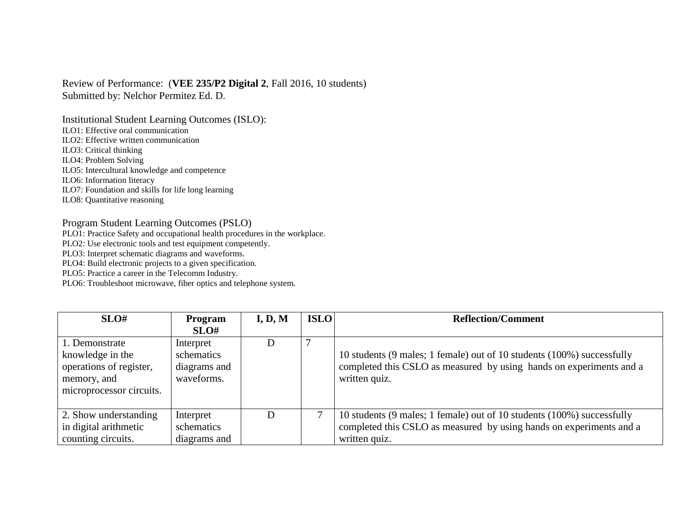Review of Performance: (**VEE 235/P2 Digital 2**, Fall 2016, 10 students) Submitted by: Nelchor Permitez Ed. D.

Institutional Student Learning Outcomes (ISLO):

ILO1: Effective oral communication

ILO2: Effective written communication

ILO3: Critical thinking

ILO4: Problem Solving

ILO5: Intercultural knowledge and competence

ILO6: Information literacy

ILO7: Foundation and skills for life long learning

ILO8: Quantitative reasoning

## Program Student Learning Outcomes (PSLO)

PLO1: Practice Safety and occupational health procedures in the workplace.

PLO2: Use electronic tools and test equipment competently.

PLO3: Interpret schematic diagrams and waveforms.

PLO4: Build electronic projects to a given specification.

PLO5: Practice a career in the Telecomm Industry.

PLO6: Troubleshoot microwave, fiber optics and telephone system.

| SLO#                     | Program      | I, D, M | <b>ISLO</b> | <b>Reflection/Comment</b>                                              |
|--------------------------|--------------|---------|-------------|------------------------------------------------------------------------|
|                          | SLO#         |         |             |                                                                        |
| 1. Demonstrate           | Interpret    | I)      |             |                                                                        |
| knowledge in the         | schematics   |         |             | 10 students (9 males; 1 female) out of 10 students (100%) successfully |
| operations of register,  | diagrams and |         |             | completed this CSLO as measured by using hands on experiments and a    |
| memory, and              | waveforms.   |         |             | written quiz.                                                          |
| microprocessor circuits. |              |         |             |                                                                        |
|                          |              |         |             |                                                                        |
| 2. Show understanding    | Interpret    | D       |             | 10 students (9 males; 1 female) out of 10 students (100%) successfully |
| in digital arithmetic    | schematics   |         |             | completed this CSLO as measured by using hands on experiments and a    |
| counting circuits.       | diagrams and |         |             | written quiz.                                                          |